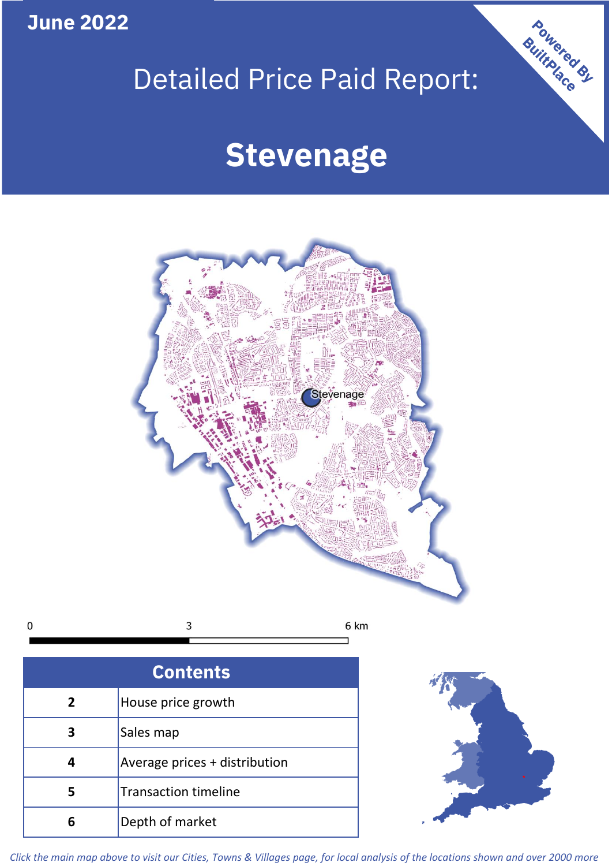**June 2022**

# Detailed Price Paid Report:

## **Stevenage**



| <b>Contents</b> |                               |  |  |
|-----------------|-------------------------------|--|--|
| $\overline{2}$  | House price growth            |  |  |
| 3               | Sales map                     |  |  |
| 4               | Average prices + distribution |  |  |
| 5               | <b>Transaction timeline</b>   |  |  |
| հ               | Depth of market               |  |  |



Powered By

*Click the main map above to visit our Cities, Towns & Villages page, for local analysis of the locations shown and over 2000 more*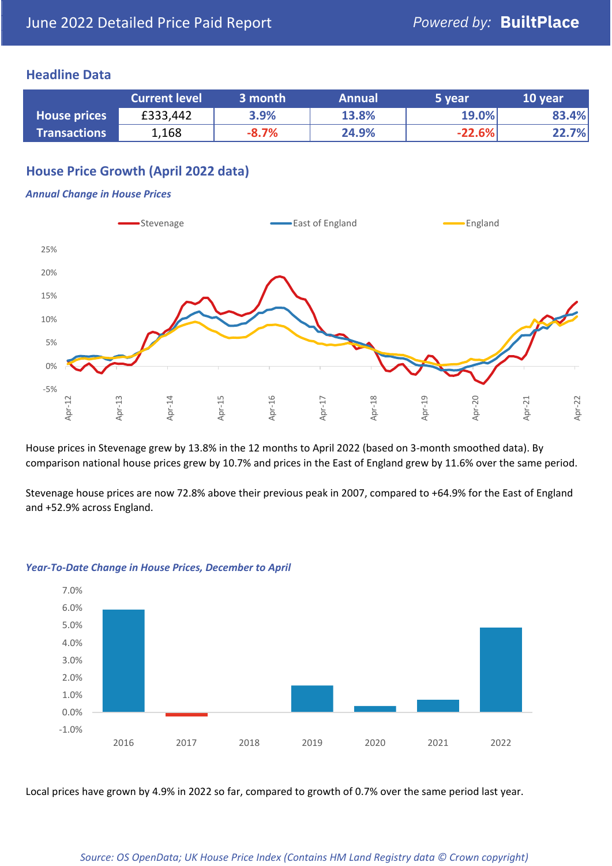#### **Headline Data**

|                     | <b>Current level</b> | 3 month | <b>Annual</b> | 5 year   | 10 year |
|---------------------|----------------------|---------|---------------|----------|---------|
| <b>House prices</b> | £333,442             | 3.9%    | 13.8%         | 19.0%    | 83.4%   |
| <b>Transactions</b> | 1,168                | $-8.7%$ | 24.9%         | $-22.6%$ | 22.7%   |

#### **House Price Growth (April 2022 data)**

#### *Annual Change in House Prices*



House prices in Stevenage grew by 13.8% in the 12 months to April 2022 (based on 3-month smoothed data). By comparison national house prices grew by 10.7% and prices in the East of England grew by 11.6% over the same period.

Stevenage house prices are now 72.8% above their previous peak in 2007, compared to +64.9% for the East of England and +52.9% across England.



#### *Year-To-Date Change in House Prices, December to April*

Local prices have grown by 4.9% in 2022 so far, compared to growth of 0.7% over the same period last year.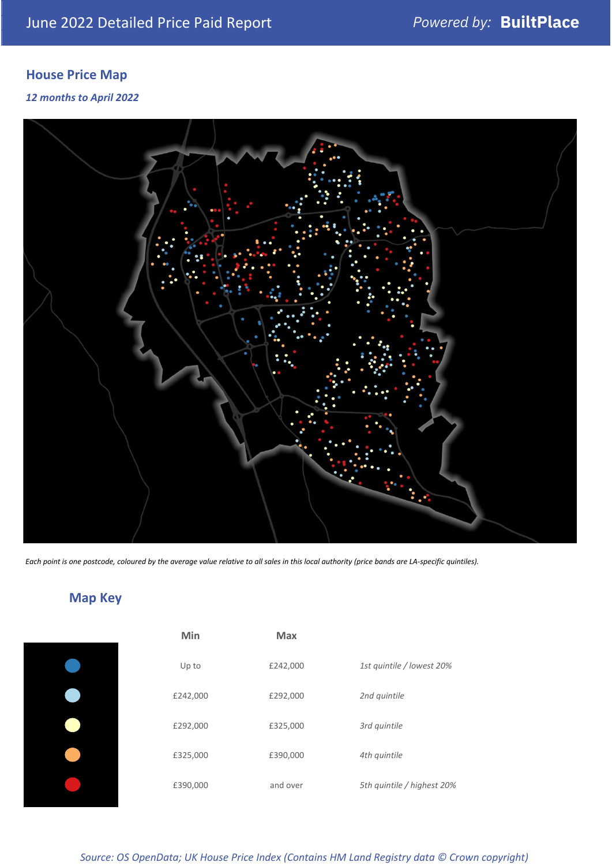### **House Price Map**

#### *12 months to April 2022*



*Each point is one postcode, coloured by the average value relative to all sales in this local authority (price bands are LA-specific quintiles).*

### **Map Key**

| Min      | Max      |                            |
|----------|----------|----------------------------|
| Up to    | £242,000 | 1st quintile / lowest 20%  |
| £242,000 | £292,000 | 2nd quintile               |
| £292,000 | £325,000 | 3rd quintile               |
| £325,000 | £390,000 | 4th quintile               |
| £390,000 | and over | 5th quintile / highest 20% |

*Source: OS OpenData; UK House Price Index (Contains HM Land Registry data © Crown copyright)*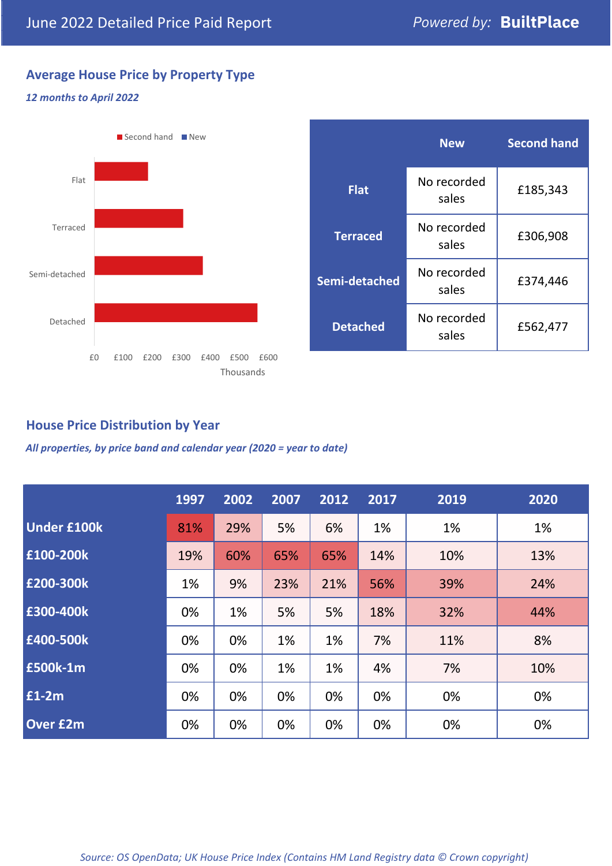#### **Average House Price by Property Type**

#### *12 months to April 2022*



|                 | <b>New</b>           | <b>Second hand</b> |  |
|-----------------|----------------------|--------------------|--|
| <b>Flat</b>     | No recorded<br>sales | £185,343           |  |
| <b>Terraced</b> | No recorded<br>sales | £306,908           |  |
| Semi-detached   | No recorded<br>sales | £374,446           |  |
| <b>Detached</b> | No recorded<br>sales | £562,477           |  |

#### **House Price Distribution by Year**

*All properties, by price band and calendar year (2020 = year to date)*

|                    | 1997 | 2002 | 2007 | 2012 | 2017 | 2019 | 2020 |
|--------------------|------|------|------|------|------|------|------|
| <b>Under £100k</b> | 81%  | 29%  | 5%   | 6%   | 1%   | 1%   | 1%   |
| £100-200k          | 19%  | 60%  | 65%  | 65%  | 14%  | 10%  | 13%  |
| E200-300k          | 1%   | 9%   | 23%  | 21%  | 56%  | 39%  | 24%  |
| £300-400k          | 0%   | 1%   | 5%   | 5%   | 18%  | 32%  | 44%  |
| £400-500k          | 0%   | 0%   | 1%   | 1%   | 7%   | 11%  | 8%   |
| <b>£500k-1m</b>    | 0%   | 0%   | 1%   | 1%   | 4%   | 7%   | 10%  |
| £1-2m              | 0%   | 0%   | 0%   | 0%   | 0%   | 0%   | 0%   |
| <b>Over £2m</b>    | 0%   | 0%   | 0%   | 0%   | 0%   | 0%   | 0%   |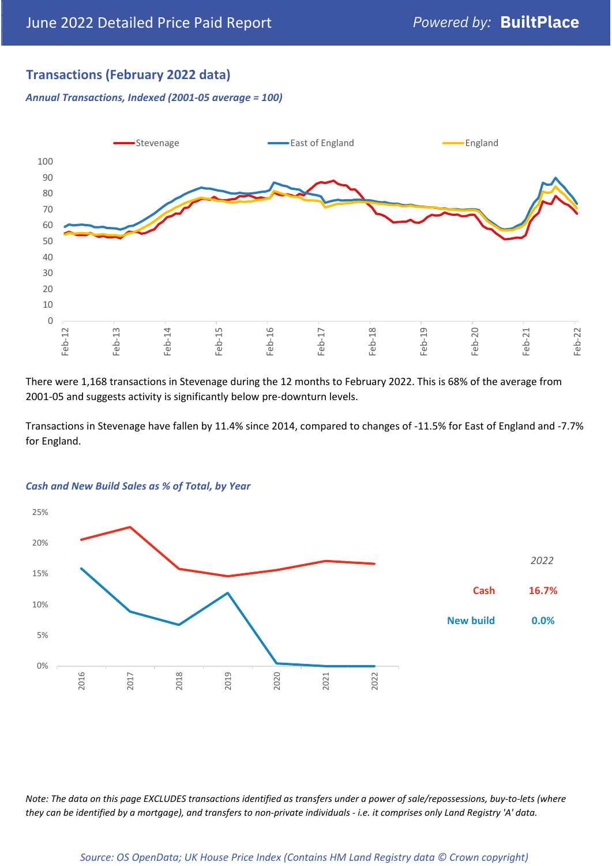#### **Transactions (February 2022 data)**

*Annual Transactions, Indexed (2001-05 average = 100)*



There were 1,168 transactions in Stevenage during the 12 months to February 2022. This is 68% of the average from 2001-05 and suggests activity is significantly below pre-downturn levels.

Transactions in Stevenage have fallen by 11.4% since 2014, compared to changes of -11.5% for East of England and -7.7% for England.



#### *Cash and New Build Sales as % of Total, by Year*

*Note: The data on this page EXCLUDES transactions identified as transfers under a power of sale/repossessions, buy-to-lets (where they can be identified by a mortgage), and transfers to non-private individuals - i.e. it comprises only Land Registry 'A' data.*